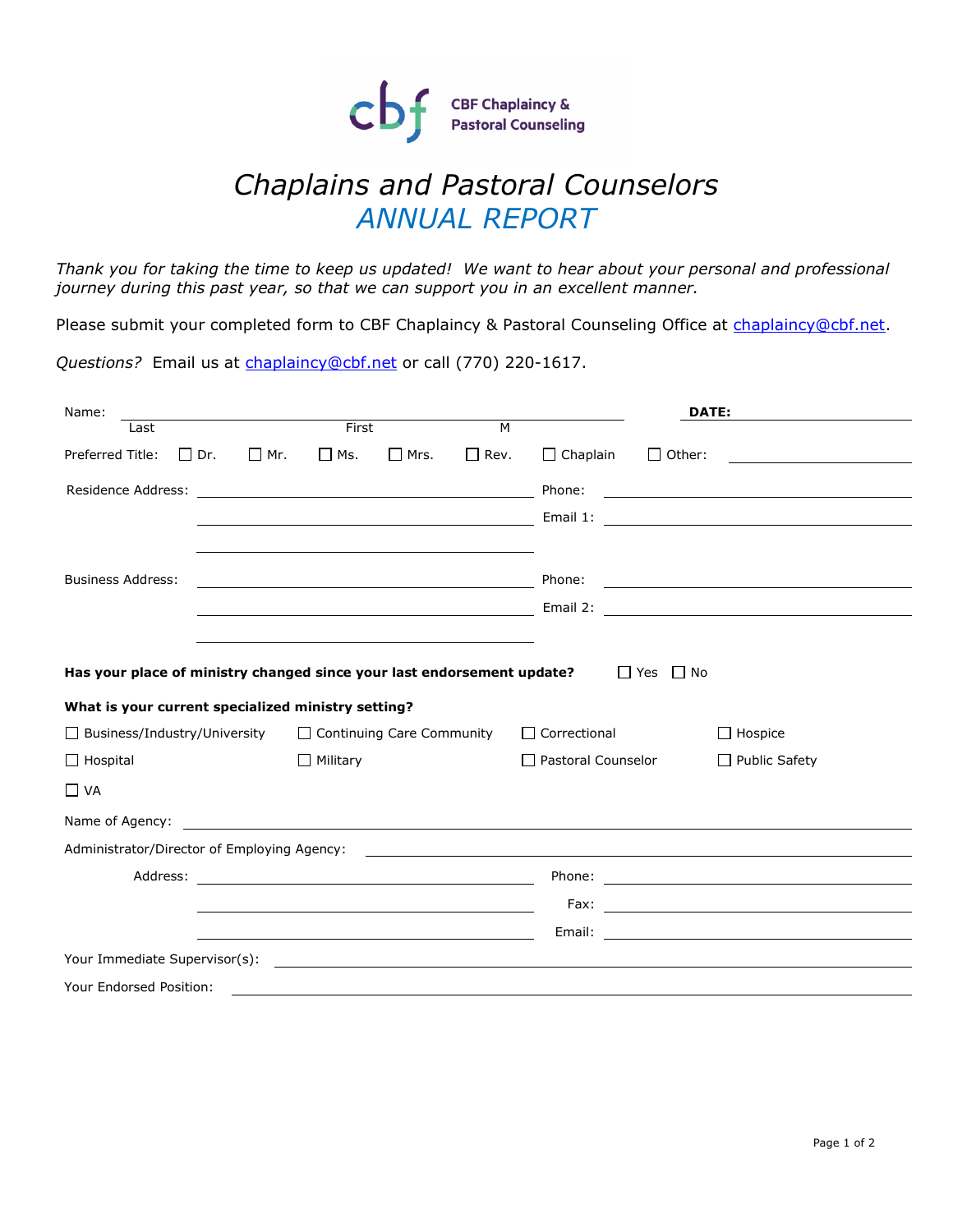

## *Chaplains and Pastoral Counselors ANNUAL REPORT*

*Thank you for taking the time to keep us updated! We want to hear about your personal and professional journey during this past year, so that we can support you in an excellent manner.*

Please submit your completed form to CBF Chaplaincy & Pastoral Counseling Office at [chaplaincy@cbf.net.](mailto:chaplaincy@cbf.net)

*Questions?* Email us at [chaplaincy@cbf.net](mailto:chaplaincy@cbf.net) or call (770) 220-1617.

| Name:                                                                                          |                                                                                                                      |                                                           | DATE:                                                                                                                                                                                                                                                                                                                                                                                                |
|------------------------------------------------------------------------------------------------|----------------------------------------------------------------------------------------------------------------------|-----------------------------------------------------------|------------------------------------------------------------------------------------------------------------------------------------------------------------------------------------------------------------------------------------------------------------------------------------------------------------------------------------------------------------------------------------------------------|
| Last                                                                                           | First                                                                                                                | M                                                         |                                                                                                                                                                                                                                                                                                                                                                                                      |
| $\Box$ Dr.<br>$\Box$ Mr.<br>Preferred Title:                                                   | $\square$ Ms.<br>$\Box$ Mrs.                                                                                         | $\Box$ Rev.<br>$\Box$ Chaplain                            | $\Box$ Other:                                                                                                                                                                                                                                                                                                                                                                                        |
| Residence Address:                                                                             | <u> 1989 - Johann Barbara, martin amerikan basar dan basa dan basa dan basa dan basa dan basa dan basa dan basa</u>  | Phone:                                                    |                                                                                                                                                                                                                                                                                                                                                                                                      |
|                                                                                                | <u> Alexandria de la contrada de la contrada de la contrada de la contrada de la contrada de la contrada de la c</u> |                                                           |                                                                                                                                                                                                                                                                                                                                                                                                      |
|                                                                                                |                                                                                                                      |                                                           |                                                                                                                                                                                                                                                                                                                                                                                                      |
| <b>Business Address:</b>                                                                       | <u> 1989 - Johann Barn, mars eta bainar eta bainar eta baina eta baina eta baina eta baina eta baina eta baina e</u> | Phone:                                                    | $\label{eq:2.1} \frac{1}{\sqrt{2\pi}}\frac{1}{\sqrt{2\pi}}\frac{1}{\sqrt{2\pi}}\frac{1}{\sqrt{2\pi}}\frac{1}{\sqrt{2\pi}}\frac{1}{\sqrt{2\pi}}\frac{1}{\sqrt{2\pi}}\frac{1}{\sqrt{2\pi}}\frac{1}{\sqrt{2\pi}}\frac{1}{\sqrt{2\pi}}\frac{1}{\sqrt{2\pi}}\frac{1}{\sqrt{2\pi}}\frac{1}{\sqrt{2\pi}}\frac{1}{\sqrt{2\pi}}\frac{1}{\sqrt{2\pi}}\frac{1}{\sqrt{2\pi}}\frac{1}{\sqrt{2\pi}}\frac{1}{\sqrt$ |
|                                                                                                |                                                                                                                      |                                                           |                                                                                                                                                                                                                                                                                                                                                                                                      |
|                                                                                                |                                                                                                                      |                                                           |                                                                                                                                                                                                                                                                                                                                                                                                      |
| Has your place of ministry changed since your last endorsement update?<br>$\Box$ Yes $\Box$ No |                                                                                                                      |                                                           |                                                                                                                                                                                                                                                                                                                                                                                                      |
| What is your current specialized ministry setting?                                             |                                                                                                                      |                                                           |                                                                                                                                                                                                                                                                                                                                                                                                      |
| $\Box$ Business/Industry/University                                                            | $\Box$ Continuing Care Community                                                                                     | $\Box$ Correctional                                       | $\Box$ Hospice                                                                                                                                                                                                                                                                                                                                                                                       |
| $\Box$ Hospital                                                                                | $\Box$ Military                                                                                                      | $\Box$ Pastoral Counselor                                 | $\Box$ Public Safety                                                                                                                                                                                                                                                                                                                                                                                 |
| $\Box$ VA                                                                                      |                                                                                                                      |                                                           |                                                                                                                                                                                                                                                                                                                                                                                                      |
|                                                                                                |                                                                                                                      |                                                           |                                                                                                                                                                                                                                                                                                                                                                                                      |
| Administrator/Director of Employing Agency:                                                    |                                                                                                                      | <u> 1989 - Andrea Stadt Britain, amerikansk politik (</u> |                                                                                                                                                                                                                                                                                                                                                                                                      |
|                                                                                                |                                                                                                                      |                                                           |                                                                                                                                                                                                                                                                                                                                                                                                      |
|                                                                                                |                                                                                                                      |                                                           |                                                                                                                                                                                                                                                                                                                                                                                                      |
|                                                                                                | <u> 1989 - Johann Barnett, fransk politiker (d. 1989)</u>                                                            |                                                           |                                                                                                                                                                                                                                                                                                                                                                                                      |
|                                                                                                |                                                                                                                      |                                                           |                                                                                                                                                                                                                                                                                                                                                                                                      |
| Your Endorsed Position:                                                                        |                                                                                                                      |                                                           |                                                                                                                                                                                                                                                                                                                                                                                                      |